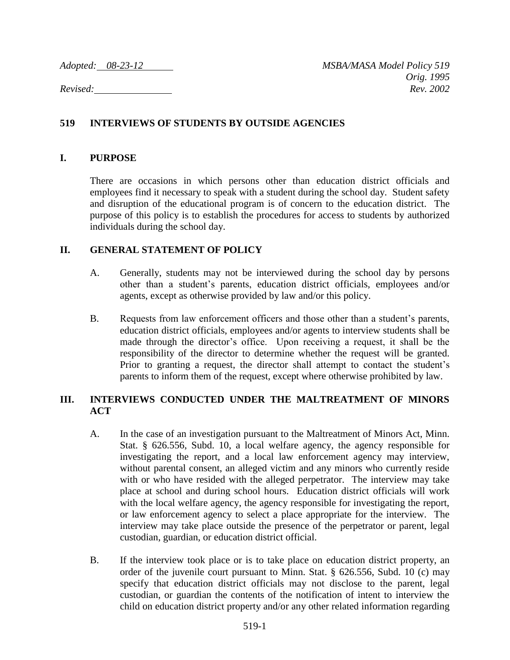## **519 INTERVIEWS OF STUDENTS BY OUTSIDE AGENCIES**

## **I. PURPOSE**

There are occasions in which persons other than education district officials and employees find it necessary to speak with a student during the school day. Student safety and disruption of the educational program is of concern to the education district. The purpose of this policy is to establish the procedures for access to students by authorized individuals during the school day.

## **II. GENERAL STATEMENT OF POLICY**

- A. Generally, students may not be interviewed during the school day by persons other than a student's parents, education district officials, employees and/or agents, except as otherwise provided by law and/or this policy.
- B. Requests from law enforcement officers and those other than a student's parents, education district officials, employees and/or agents to interview students shall be made through the director's office. Upon receiving a request, it shall be the responsibility of the director to determine whether the request will be granted. Prior to granting a request, the director shall attempt to contact the student's parents to inform them of the request, except where otherwise prohibited by law.

## **III. INTERVIEWS CONDUCTED UNDER THE MALTREATMENT OF MINORS ACT**

- A. In the case of an investigation pursuant to the Maltreatment of Minors Act, Minn. Stat. § 626.556, Subd. 10, a local welfare agency, the agency responsible for investigating the report, and a local law enforcement agency may interview, without parental consent, an alleged victim and any minors who currently reside with or who have resided with the alleged perpetrator. The interview may take place at school and during school hours. Education district officials will work with the local welfare agency, the agency responsible for investigating the report, or law enforcement agency to select a place appropriate for the interview. The interview may take place outside the presence of the perpetrator or parent, legal custodian, guardian, or education district official.
- B. If the interview took place or is to take place on education district property, an order of the juvenile court pursuant to Minn. Stat. § 626.556, Subd. 10 (c) may specify that education district officials may not disclose to the parent, legal custodian, or guardian the contents of the notification of intent to interview the child on education district property and/or any other related information regarding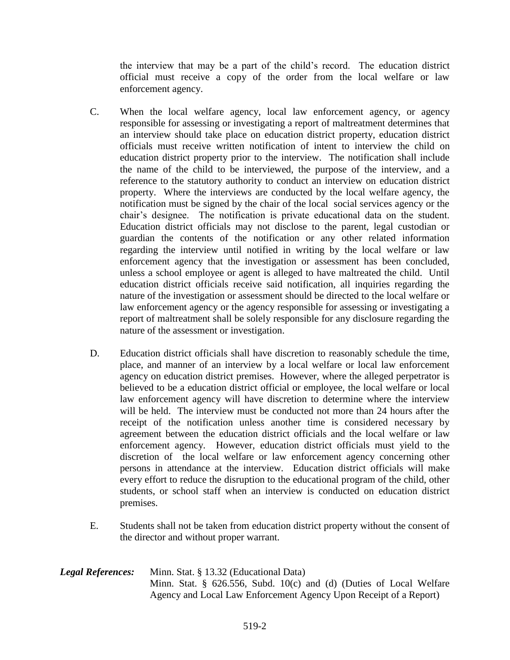the interview that may be a part of the child's record. The education district official must receive a copy of the order from the local welfare or law enforcement agency.

- C. When the local welfare agency, local law enforcement agency, or agency responsible for assessing or investigating a report of maltreatment determines that an interview should take place on education district property, education district officials must receive written notification of intent to interview the child on education district property prior to the interview. The notification shall include the name of the child to be interviewed, the purpose of the interview, and a reference to the statutory authority to conduct an interview on education district property. Where the interviews are conducted by the local welfare agency, the notification must be signed by the chair of the local social services agency or the chair's designee. The notification is private educational data on the student. Education district officials may not disclose to the parent, legal custodian or guardian the contents of the notification or any other related information regarding the interview until notified in writing by the local welfare or law enforcement agency that the investigation or assessment has been concluded, unless a school employee or agent is alleged to have maltreated the child. Until education district officials receive said notification, all inquiries regarding the nature of the investigation or assessment should be directed to the local welfare or law enforcement agency or the agency responsible for assessing or investigating a report of maltreatment shall be solely responsible for any disclosure regarding the nature of the assessment or investigation.
- D. Education district officials shall have discretion to reasonably schedule the time, place, and manner of an interview by a local welfare or local law enforcement agency on education district premises. However, where the alleged perpetrator is believed to be a education district official or employee, the local welfare or local law enforcement agency will have discretion to determine where the interview will be held. The interview must be conducted not more than 24 hours after the receipt of the notification unless another time is considered necessary by agreement between the education district officials and the local welfare or law enforcement agency. However, education district officials must yield to the discretion of the local welfare or law enforcement agency concerning other persons in attendance at the interview. Education district officials will make every effort to reduce the disruption to the educational program of the child, other students, or school staff when an interview is conducted on education district premises.
- E. Students shall not be taken from education district property without the consent of the director and without proper warrant.
- *Legal References:* Minn. Stat. § 13.32 (Educational Data) Minn. Stat. § 626.556, Subd. 10(c) and (d) (Duties of Local Welfare Agency and Local Law Enforcement Agency Upon Receipt of a Report)